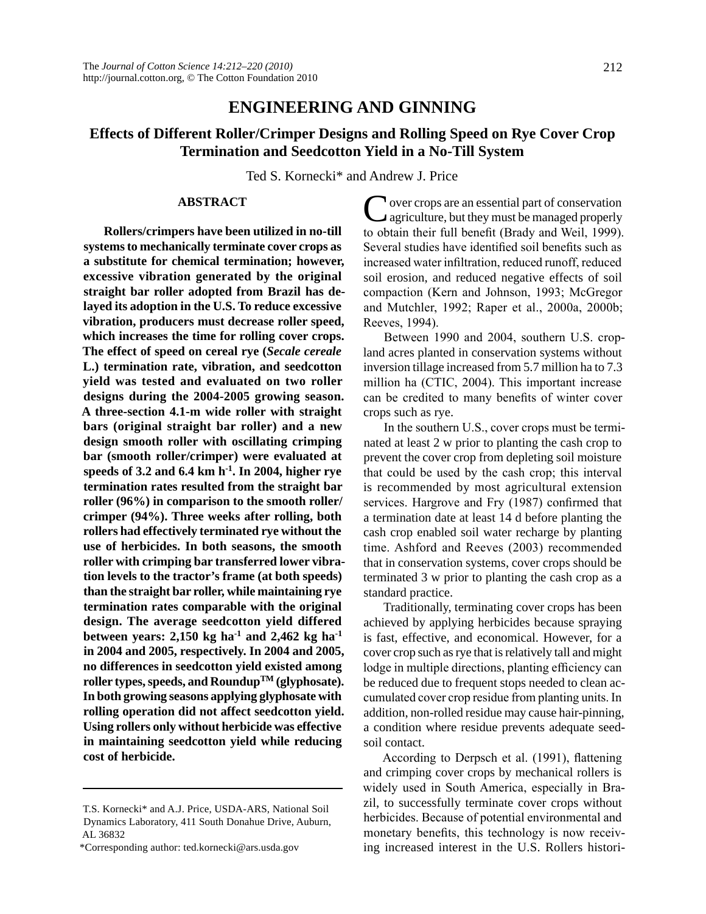## **ENGINEERING AND GINNING**

# **Effects of Different Roller/Crimper Designs and Rolling Speed on Rye Cover Crop Termination and Seedcotton Yield in a No-Till System**

Ted S. Kornecki\* and Andrew J. Price

## **ABSTRACT**

**Rollers/crimpers have been utilized in no-till systems to mechanically terminate cover crops as a substitute for chemical termination; however, excessive vibration generated by the original straight bar roller adopted from Brazil has delayed its adoption in the U.S. To reduce excessive vibration, producers must decrease roller speed, which increases the time for rolling cover crops. The effect of speed on cereal rye (***Secale cereale* **L.) termination rate, vibration, and seedcotton yield was tested and evaluated on two roller designs during the 2004-2005 growing season. A three-section 4.1-m wide roller with straight bars (original straight bar roller) and a new design smooth roller with oscillating crimping bar (smooth roller/crimper) were evaluated at speeds of 3.2 and 6.4 km h-1. In 2004, higher rye termination rates resulted from the straight bar roller (96%) in comparison to the smooth roller/ crimper (94%). Three weeks after rolling, both rollers had effectively terminated rye without the use of herbicides. In both seasons, the smooth roller with crimping bar transferred lower vibration levels to the tractor's frame (at both speeds) than the straight bar roller, while maintaining rye termination rates comparable with the original design. The average seedcotton yield differed**  between years:  $2,150$  kg ha<sup>-1</sup> and  $2,462$  kg ha<sup>-1</sup> **in 2004 and 2005, respectively. In 2004 and 2005, no differences in seedcotton yield existed among roller types, speeds, and RoundupTM (glyphosate). In both growing seasons applying glyphosate with rolling operation did not affect seedcotton yield. Using rollers only without herbicide was effective in maintaining seedcotton yield while reducing cost of herbicide.**

**Nover crops are an essential part of conservation** agriculture, but they must be managed properly to obtain their full benefit (Brady and Weil, 1999). Several studies have identified soil benefits such as increased water infiltration, reduced runoff, reduced soil erosion, and reduced negative effects of soil compaction (Kern and Johnson, 1993; McGregor and Mutchler, 1992; Raper et al., 2000a, 2000b; Reeves, 1994).

Between 1990 and 2004, southern U.S. cropland acres planted in conservation systems without inversion tillage increased from 5.7 million ha to 7.3 million ha (CTIC, 2004). This important increase can be credited to many benefits of winter cover crops such as rye.

In the southern U.S., cover crops must be terminated at least 2 w prior to planting the cash crop to prevent the cover crop from depleting soil moisture that could be used by the cash crop; this interval is recommended by most agricultural extension services. Hargrove and Fry (1987) confirmed that a termination date at least 14 d before planting the cash crop enabled soil water recharge by planting time. Ashford and Reeves (2003) recommended that in conservation systems, cover crops should be terminated 3 w prior to planting the cash crop as a standard practice.

Traditionally, terminating cover crops has been achieved by applying herbicides because spraying is fast, effective, and economical. However, for a cover crop such as rye that is relatively tall and might lodge in multiple directions, planting efficiency can be reduced due to frequent stops needed to clean accumulated cover crop residue from planting units. In addition, non-rolled residue may cause hair-pinning, a condition where residue prevents adequate seedsoil contact.

According to Derpsch et al. (1991), flattening and crimping cover crops by mechanical rollers is widely used in South America, especially in Brazil, to successfully terminate cover crops without herbicides. Because of potential environmental and monetary benefits, this technology is now receiving increased interest in the U.S. Rollers histori-

T.S. Kornecki\* and A.J. Price, USDA-ARS, National Soil Dynamics Laboratory, 411 South Donahue Drive, Auburn, AL 36832

<sup>\*</sup>Corresponding author: ted.kornecki@ars.usda.gov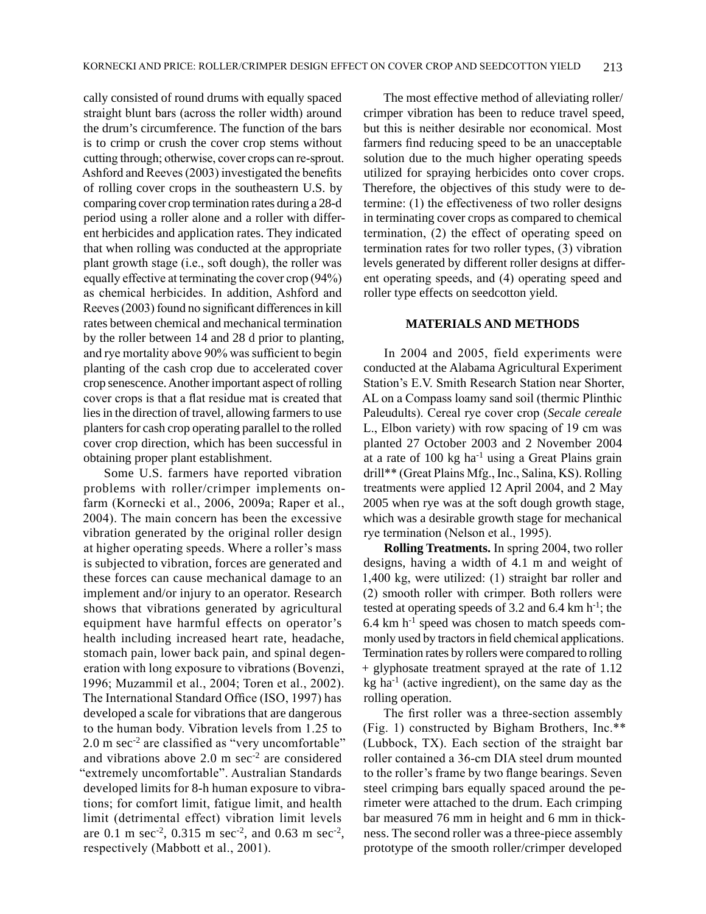cally consisted of round drums with equally spaced straight blunt bars (across the roller width) around the drum's circumference. The function of the bars is to crimp or crush the cover crop stems without cutting through; otherwise, cover crops can re-sprout. Ashford and Reeves (2003) investigated the benefits of rolling cover crops in the southeastern U.S. by comparing cover crop termination rates during a 28-d period using a roller alone and a roller with different herbicides and application rates. They indicated that when rolling was conducted at the appropriate plant growth stage (i.e., soft dough), the roller was equally effective at terminating the cover crop (94%) as chemical herbicides. In addition, Ashford and Reeves (2003) found no significant differences in kill rates between chemical and mechanical termination by the roller between 14 and 28 d prior to planting, and rye mortality above 90% was sufficient to begin planting of the cash crop due to accelerated cover crop senescence. Another important aspect of rolling cover crops is that a flat residue mat is created that lies in the direction of travel, allowing farmers to use planters for cash crop operating parallel to the rolled cover crop direction, which has been successful in obtaining proper plant establishment.

Some U.S. farmers have reported vibration problems with roller/crimper implements onfarm (Kornecki et al., 2006, 2009a; Raper et al., 2004). The main concern has been the excessive vibration generated by the original roller design at higher operating speeds. Where a roller's mass is subjected to vibration, forces are generated and these forces can cause mechanical damage to an implement and/or injury to an operator. Research shows that vibrations generated by agricultural equipment have harmful effects on operator's health including increased heart rate, headache, stomach pain, lower back pain, and spinal degeneration with long exposure to vibrations (Bovenzi, 1996; Muzammil et al., 2004; Toren et al., 2002). The International Standard Office (ISO, 1997) has developed a scale for vibrations that are dangerous to the human body. Vibration levels from 1.25 to 2.0 m sec-2 are classified as "very uncomfortable" and vibrations above  $2.0 \text{ m sec}^2$  are considered "extremely uncomfortable". Australian Standards developed limits for 8-h human exposure to vibrations; for comfort limit, fatigue limit, and health limit (detrimental effect) vibration limit levels are 0.1 m sec<sup>-2</sup>, 0.315 m sec<sup>-2</sup>, and 0.63 m sec<sup>-2</sup>, respectively (Mabbott et al., 2001).

The most effective method of alleviating roller/ crimper vibration has been to reduce travel speed, but this is neither desirable nor economical. Most farmers find reducing speed to be an unacceptable solution due to the much higher operating speeds utilized for spraying herbicides onto cover crops. Therefore, the objectives of this study were to determine: (1) the effectiveness of two roller designs in terminating cover crops as compared to chemical termination, (2) the effect of operating speed on termination rates for two roller types, (3) vibration levels generated by different roller designs at different operating speeds, and (4) operating speed and roller type effects on seedcotton yield.

## **MATERIALS AND METHODS**

In 2004 and 2005, field experiments were conducted at the Alabama Agricultural Experiment Station's E.V. Smith Research Station near Shorter, AL on a Compass loamy sand soil (thermic Plinthic Paleudults). Cereal rye cover crop (*Secale cereale* L., Elbon variety) with row spacing of 19 cm was planted 27 October 2003 and 2 November 2004 at a rate of  $100 \text{ kg}$  ha<sup>-1</sup> using a Great Plains grain drill\*\* (Great Plains Mfg., Inc., Salina, KS). Rolling treatments were applied 12 April 2004, and 2 May 2005 when rye was at the soft dough growth stage, which was a desirable growth stage for mechanical rye termination (Nelson et al., 1995).

**Rolling Treatments.** In spring 2004, two roller designs, having a width of 4.1 m and weight of 1,400 kg, were utilized: (1) straight bar roller and (2) smooth roller with crimper. Both rollers were tested at operating speeds of 3.2 and 6.4 km  $h^{-1}$ ; the  $6.4 \text{ km h}^{-1}$  speed was chosen to match speeds commonly used by tractors in field chemical applications. Termination rates by rollers were compared to rolling + glyphosate treatment sprayed at the rate of 1.12 kg ha<sup>-1</sup> (active ingredient), on the same day as the rolling operation.

The first roller was a three-section assembly (Fig. 1) constructed by Bigham Brothers, Inc.\*\* (Lubbock, TX). Each section of the straight bar roller contained a 36-cm DIA steel drum mounted to the roller's frame by two flange bearings. Seven steel crimping bars equally spaced around the perimeter were attached to the drum. Each crimping bar measured 76 mm in height and 6 mm in thickness. The second roller was a three-piece assembly prototype of the smooth roller/crimper developed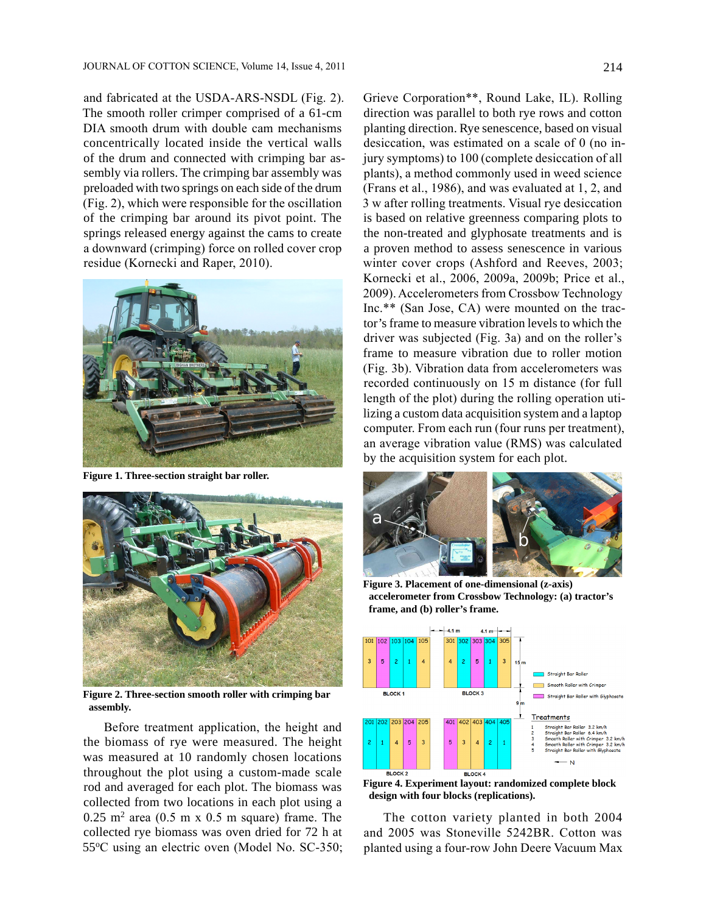and fabricated at the USDA-ARS-NSDL (Fig. 2). The smooth roller crimper comprised of a 61-cm DIA smooth drum with double cam mechanisms concentrically located inside the vertical walls of the drum and connected with crimping bar assembly via rollers. The crimping bar assembly was preloaded with two springs on each side of the drum (Fig. 2), which were responsible for the oscillation of the crimping bar around its pivot point. The springs released energy against the cams to create a downward (crimping) force on rolled cover crop residue (Kornecki and Raper, 2010).



**Figure 1. Three-section straight bar roller.**



**Figure 2. Three-section smooth roller with crimping bar assembly.**

Before treatment application, the height and the biomass of rye were measured. The height was measured at 10 randomly chosen locations throughout the plot using a custom-made scale rod and averaged for each plot. The biomass was collected from two locations in each plot using a  $0.25$  m<sup>2</sup> area  $(0.5$  m x  $0.5$  m square) frame. The collected rye biomass was oven dried for 72 h at 55oC using an electric oven (Model No. SC-350; Grieve Corporation\*\*, Round Lake, IL). Rolling direction was parallel to both rye rows and cotton planting direction. Rye senescence, based on visual desiccation, was estimated on a scale of 0 (no injury symptoms) to 100 (complete desiccation of all plants), a method commonly used in weed science (Frans et al., 1986), and was evaluated at 1, 2, and 3 w after rolling treatments. Visual rye desiccation is based on relative greenness comparing plots to the non-treated and glyphosate treatments and is a proven method to assess senescence in various winter cover crops (Ashford and Reeves, 2003; Kornecki et al., 2006, 2009a, 2009b; Price et al., 2009). Accelerometers from Crossbow Technology Inc.\*\* (San Jose, CA) were mounted on the tractor's frame to measure vibration levels to which the driver was subjected (Fig. 3a) and on the roller's frame to measure vibration due to roller motion (Fig. 3b). Vibration data from accelerometers was recorded continuously on 15 m distance (for full length of the plot) during the rolling operation utilizing a custom data acquisition system and a laptop computer. From each run (four runs per treatment), an average vibration value (RMS) was calculated by the acquisition system for each plot.



**Figure 3. Placement of one-dimensional (z-axis) accelerometer from Crossbow Technology: (a) tractor's frame, and (b) roller's frame.**



**design with four blocks (replications).**

The cotton variety planted in both 2004 and 2005 was Stoneville 5242BR. Cotton was planted using a four-row John Deere Vacuum Max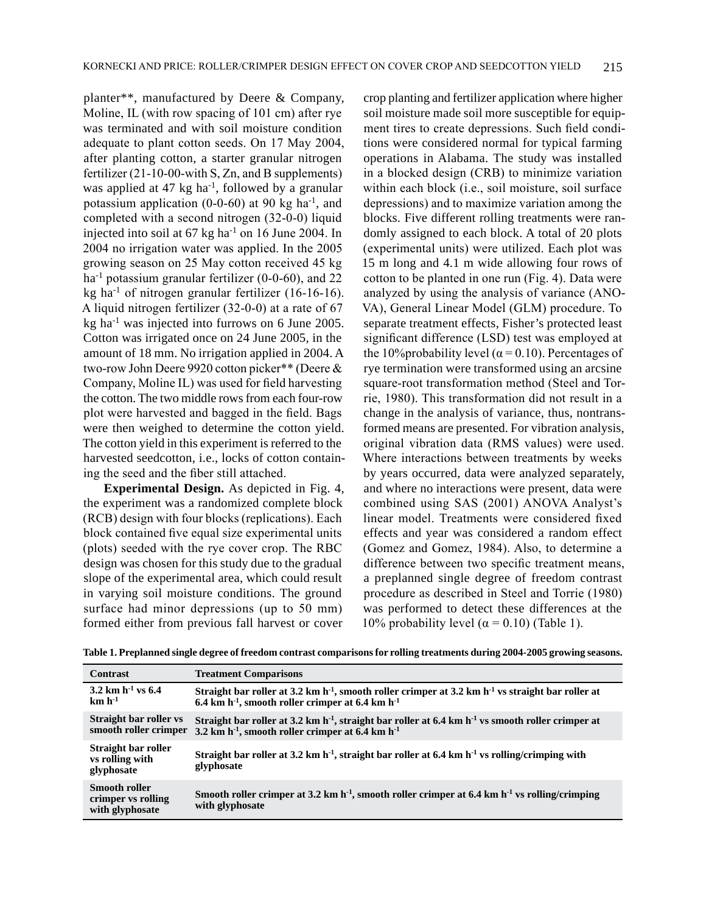planter\*\*, manufactured by Deere & Company, Moline, IL (with row spacing of 101 cm) after rye was terminated and with soil moisture condition adequate to plant cotton seeds. On 17 May 2004, after planting cotton, a starter granular nitrogen fertilizer (21-10-00-with S, Zn, and B supplements) was applied at 47 kg ha<sup>-1</sup>, followed by a granular potassium application  $(0-0-60)$  at 90 kg ha<sup>-1</sup>, and completed with a second nitrogen (32-0-0) liquid injected into soil at  $67 \text{ kg}$  ha<sup>-1</sup> on 16 June 2004. In 2004 no irrigation water was applied. In the 2005 growing season on 25 May cotton received 45 kg ha<sup>-1</sup> potassium granular fertilizer (0-0-60), and 22 kg ha<sup>-1</sup> of nitrogen granular fertilizer  $(16-16-16)$ . A liquid nitrogen fertilizer (32-0-0) at a rate of 67 kg ha-1 was injected into furrows on 6 June 2005. Cotton was irrigated once on 24 June 2005, in the amount of 18 mm. No irrigation applied in 2004. A two-row John Deere 9920 cotton picker\*\* (Deere & Company, Moline IL) was used for field harvesting the cotton. The two middle rows from each four-row plot were harvested and bagged in the field. Bags were then weighed to determine the cotton yield. The cotton yield in this experiment is referred to the harvested seedcotton, i.e., locks of cotton containing the seed and the fiber still attached.

**Experimental Design.** As depicted in Fig. 4, the experiment was a randomized complete block (RCB) design with four blocks (replications). Each block contained five equal size experimental units (plots) seeded with the rye cover crop. The RBC design was chosen for this study due to the gradual slope of the experimental area, which could result in varying soil moisture conditions. The ground surface had minor depressions (up to 50 mm) formed either from previous fall harvest or cover

crop planting and fertilizer application where higher soil moisture made soil more susceptible for equipment tires to create depressions. Such field conditions were considered normal for typical farming operations in Alabama. The study was installed in a blocked design (CRB) to minimize variation within each block (i.e., soil moisture, soil surface depressions) and to maximize variation among the blocks. Five different rolling treatments were randomly assigned to each block. A total of 20 plots (experimental units) were utilized. Each plot was 15 m long and 4.1 m wide allowing four rows of cotton to be planted in one run (Fig. 4). Data were analyzed by using the analysis of variance (ANO-VA), General Linear Model (GLM) procedure. To separate treatment effects, Fisher's protected least significant difference (LSD) test was employed at the 10% probability level ( $\alpha$  = 0.10). Percentages of rye termination were transformed using an arcsine square-root transformation method (Steel and Torrie, 1980). This transformation did not result in a change in the analysis of variance, thus, nontransformed means are presented. For vibration analysis, original vibration data (RMS values) were used. Where interactions between treatments by weeks by years occurred, data were analyzed separately, and where no interactions were present, data were combined using SAS (2001) ANOVA Analyst's linear model. Treatments were considered fixed effects and year was considered a random effect (Gomez and Gomez, 1984). Also, to determine a difference between two specific treatment means, a preplanned single degree of freedom contrast procedure as described in Steel and Torrie (1980) was performed to detect these differences at the 10% probability level ( $\alpha$  = 0.10) (Table 1).

|  |  | Table 1. Preplanned single degree of freedom contrast comparisons for rolling treatments during 2004-2005 growing seasons. |  |  |  |
|--|--|----------------------------------------------------------------------------------------------------------------------------|--|--|--|
|--|--|----------------------------------------------------------------------------------------------------------------------------|--|--|--|

| <b>Contrast</b>                                               | <b>Treatment Comparisons</b>                                                                                                                                                                          |
|---------------------------------------------------------------|-------------------------------------------------------------------------------------------------------------------------------------------------------------------------------------------------------|
| 3.2 km $h^{-1}$ vs 6.4<br>$km h^{-1}$                         | Straight bar roller at 3.2 km h <sup>-1</sup> , smooth roller crimper at 3.2 km h <sup>-1</sup> vs straight bar roller at<br>6.4 km h <sup>-1</sup> , smooth roller crimper at 6.4 km h <sup>-1</sup> |
| Straight bar roller vs<br>smooth roller crimper               | Straight bar roller at 3.2 km h <sup>-1</sup> , straight bar roller at 6.4 km h <sup>-1</sup> vs smooth roller crimper at<br>3.2 km $h^{-1}$ , smooth roller crimper at 6.4 km $h^{-1}$               |
| Straight bar roller<br>vs rolling with<br>glyphosate          | Straight bar roller at 3.2 km h <sup>-1</sup> , straight bar roller at 6.4 km h <sup>-1</sup> vs rolling/crimping with<br>glyphosate                                                                  |
| <b>Smooth roller</b><br>crimper vs rolling<br>with glyphosate | Smooth roller crimper at 3.2 km $h^{-1}$ , smooth roller crimper at 6.4 km $h^{-1}$ vs rolling/crimping<br>with glyphosate                                                                            |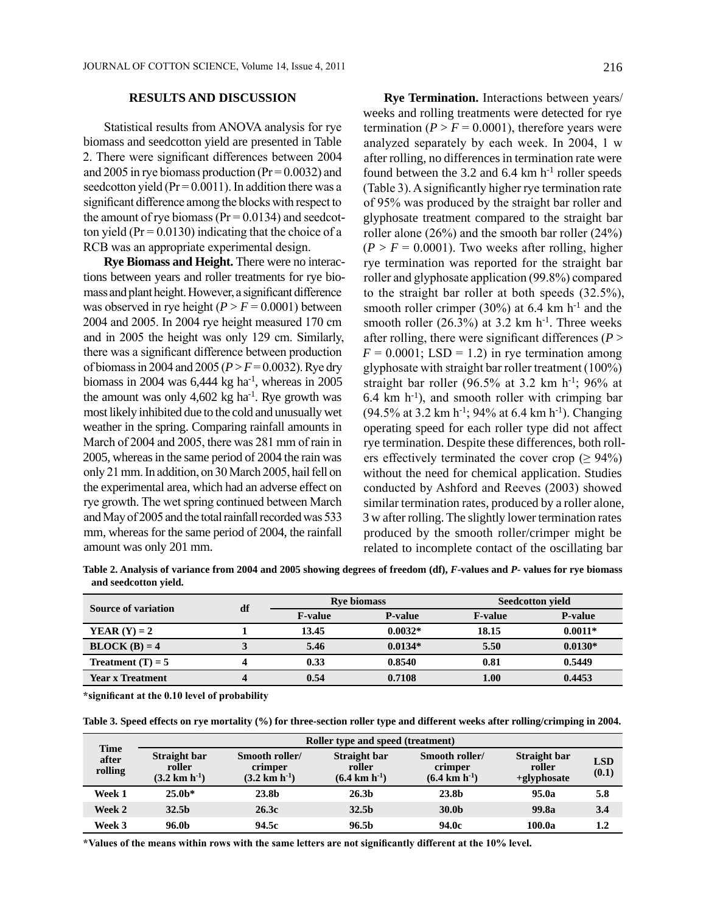#### **RESULTS AND DISCUSSION**

Statistical results from ANOVA analysis for rye biomass and seedcotton yield are presented in Table 2. There were significant differences between 2004 and 2005 in rye biomass production ( $Pr = 0.0032$ ) and seedcotton yield ( $Pr = 0.0011$ ). In addition there was a significant difference among the blocks with respect to the amount of rye biomass ( $Pr = 0.0134$ ) and seedcotton yield ( $Pr = 0.0130$ ) indicating that the choice of a RCB was an appropriate experimental design.

**Rye Biomass and Height.** There were no interactions between years and roller treatments for rye biomass and plant height. However, a significant difference was observed in rye height  $(P > F = 0.0001)$  between 2004 and 2005. In 2004 rye height measured 170 cm and in 2005 the height was only 129 cm. Similarly, there was a significant difference between production of biomass in 2004 and 2005 (*P* > *F* = 0.0032). Rye dry biomass in 2004 was  $6,444$  kg ha<sup>-1</sup>, whereas in 2005 the amount was only  $4,602 \text{ kg}$  ha<sup>-1</sup>. Rye growth was most likely inhibited due to the cold and unusually wet weather in the spring. Comparing rainfall amounts in March of 2004 and 2005, there was 281 mm of rain in 2005, whereas in the same period of 2004 the rain was only 21 mm. In addition, on 30 March 2005, hail fell on the experimental area, which had an adverse effect on rye growth. The wet spring continued between March and May of 2005 and the total rainfall recorded was 533 mm, whereas for the same period of 2004, the rainfall amount was only 201 mm.

**Rye Termination.** Interactions between years/ weeks and rolling treatments were detected for rye termination ( $P > F = 0.0001$ ), therefore years were analyzed separately by each week. In 2004, 1 w after rolling, no differences in termination rate were found between the 3.2 and 6.4 km  $h^{-1}$  roller speeds (Table 3). A significantly higher rye termination rate of 95% was produced by the straight bar roller and glyphosate treatment compared to the straight bar roller alone (26%) and the smooth bar roller (24%)  $(P > F = 0.0001)$ . Two weeks after rolling, higher rye termination was reported for the straight bar roller and glyphosate application (99.8%) compared to the straight bar roller at both speeds (32.5%), smooth roller crimper (30%) at 6.4 km  $h^{-1}$  and the smooth roller (26.3%) at 3.2 km  $h^{-1}$ . Three weeks after rolling, there were significant differences ( $P >$  $F = 0.0001$ ; LSD = 1.2) in rye termination among glyphosate with straight bar roller treatment (100%) straight bar roller (96.5% at 3.2 km h<sup>-1</sup>; 96% at 6.4 km  $h^{-1}$ ), and smooth roller with crimping bar (94.5% at 3.2 km h<sup>-1</sup>; 94% at 6.4 km h<sup>-1</sup>). Changing operating speed for each roller type did not affect rye termination. Despite these differences, both rollers effectively terminated the cover crop ( $\geq 94\%$ ) without the need for chemical application. Studies conducted by Ashford and Reeves (2003) showed similar termination rates, produced by a roller alone, 3 w after rolling. The slightly lower termination rates produced by the smooth roller/crimper might be related to incomplete contact of the oscillating bar

**Table 2. Analysis of variance from 2004 and 2005 showing degrees of freedom (df),** *F***-values and** *P***- values for rye biomass and seedcotton yield.**

| Source of variation     | df | <b>Rye biomass</b> |                | <b>Seedcotton yield</b> |                |
|-------------------------|----|--------------------|----------------|-------------------------|----------------|
|                         |    | <b>F-value</b>     | <b>P-value</b> | <b>F-value</b>          | <b>P-value</b> |
| <b>YEAR</b> $(Y) = 2$   |    | 13.45              | $0.0032*$      | 18.15                   | $0.0011*$      |
| $BLOCK(B) = 4$          |    | 5.46               | $0.0134*$      | 5.50                    | $0.0130*$      |
| Treatment $(T) = 5$     |    | 0.33               | 0.8540         | 0.81                    | 0.5449         |
| <b>Year x Treatment</b> | 4  | 0.54               | 0.7108         | 1.00                    | 0.4453         |

**\* significant at the 0.10 level of probability**

|  | Table 3. Speed effects on rye mortality (%) for three-section roller type and different weeks after rolling/crimping in 2004. |
|--|-------------------------------------------------------------------------------------------------------------------------------|
|  |                                                                                                                               |

| <b>Time</b><br>after<br>rolling | Roller type and speed (treatment)                   |                                                        |                                                     |                                                        |                                          |                     |  |
|---------------------------------|-----------------------------------------------------|--------------------------------------------------------|-----------------------------------------------------|--------------------------------------------------------|------------------------------------------|---------------------|--|
|                                 | Straight bar<br>roller<br>$(3.2 \text{ km h}^{-1})$ | Smooth roller/<br>crimper<br>$(3.2 \text{ km h}^{-1})$ | Straight bar<br>roller<br>$(6.4 \text{ km h}^{-1})$ | Smooth roller/<br>crimper<br>$(6.4 \text{ km h}^{-1})$ | Straight bar<br>roller<br>$+$ glyphosate | <b>LSD</b><br>(0.1) |  |
| Week 1                          | $25.0*$                                             | 23.8b                                                  | 26.3 <sub>b</sub>                                   | 23.8b                                                  | 95.0a                                    | 5.8                 |  |
| Week 2                          | 32.5 <sub>b</sub>                                   | 26.3c                                                  | 32.5 <sub>b</sub>                                   | 30.0b                                                  | 99.8a                                    | 3.4                 |  |
| Week 3                          | 96.0b                                               | 94.5c                                                  | 96.5b                                               | 94.0c                                                  | 100.0a                                   | $1.2\,$             |  |

\*Values of the means within rows with the same letters are not significantly different at the 10% level.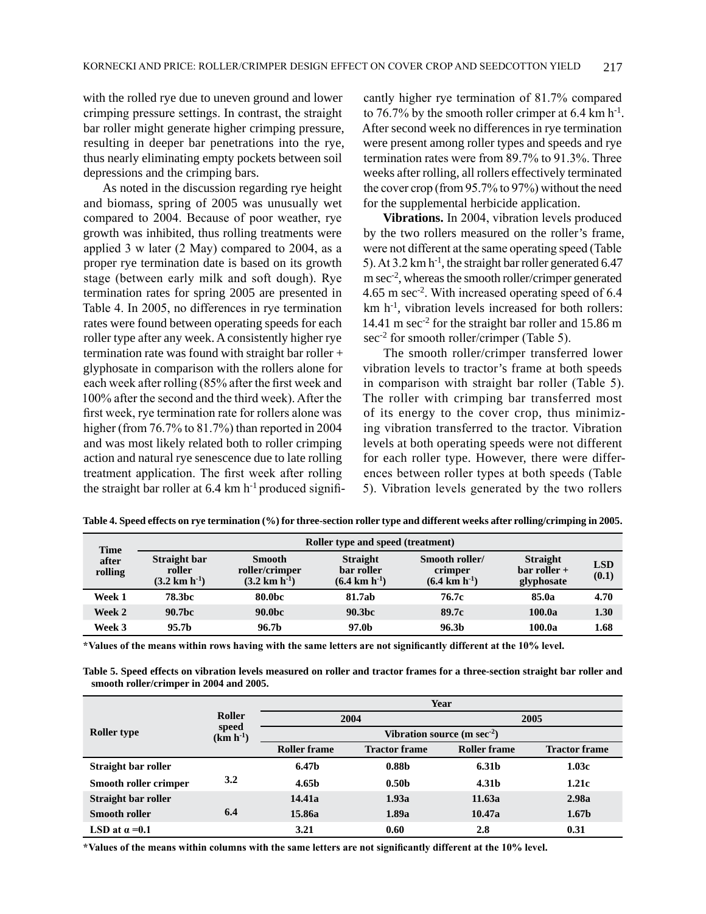with the rolled rye due to uneven ground and lower crimping pressure settings. In contrast, the straight bar roller might generate higher crimping pressure, resulting in deeper bar penetrations into the rye, thus nearly eliminating empty pockets between soil depressions and the crimping bars.

As noted in the discussion regarding rye height and biomass, spring of 2005 was unusually wet compared to 2004. Because of poor weather, rye growth was inhibited, thus rolling treatments were applied 3 w later (2 May) compared to 2004, as a proper rye termination date is based on its growth stage (between early milk and soft dough). Rye termination rates for spring 2005 are presented in Table 4. In 2005, no differences in rye termination rates were found between operating speeds for each roller type after any week. A consistently higher rye termination rate was found with straight bar roller + glyphosate in comparison with the rollers alone for each week after rolling (85% after the first week and 100% after the second and the third week). After the first week, rye termination rate for rollers alone was higher (from 76.7% to 81.7%) than reported in 2004 and was most likely related both to roller crimping action and natural rye senescence due to late rolling treatment application. The first week after rolling the straight bar roller at  $6.4 \text{ km h}^{-1}$  produced significantly higher rye termination of 81.7% compared to 76.7% by the smooth roller crimper at  $6.4 \text{ km h}^{-1}$ . After second week no differences in rye termination were present among roller types and speeds and rye termination rates were from 89.7% to 91.3%. Three weeks after rolling, all rollers effectively terminated the cover crop (from 95.7% to 97%) without the need for the supplemental herbicide application.

**Vibrations.** In 2004, vibration levels produced by the two rollers measured on the roller's frame, were not different at the same operating speed (Table 5). At  $3.2 \text{ km h}^{-1}$ , the straight bar roller generated 6.47 m sec-2, whereas the smooth roller/crimper generated 4.65 m sec-2. With increased operating speed of 6.4  $km h<sup>-1</sup>$ , vibration levels increased for both rollers: 14.41 m sec<sup>-2</sup> for the straight bar roller and 15.86 m sec<sup>-2</sup> for smooth roller/crimper (Table 5).

The smooth roller/crimper transferred lower vibration levels to tractor's frame at both speeds in comparison with straight bar roller (Table 5). The roller with crimping bar transferred most of its energy to the cover crop, thus minimizing vibration transferred to the tractor. Vibration levels at both operating speeds were not different for each roller type. However, there were differences between roller types at both speeds (Table 5). Vibration levels generated by the two rollers

| Time<br>after<br>rolling | <b>Roller type and speed (treatment)</b>            |                                                              |                                                            |                                                        |                                                 |                     |  |
|--------------------------|-----------------------------------------------------|--------------------------------------------------------------|------------------------------------------------------------|--------------------------------------------------------|-------------------------------------------------|---------------------|--|
|                          | Straight bar<br>roller<br>$(3.2 \text{ km h}^{-1})$ | <b>Smooth</b><br>roller/crimper<br>$(3.2 \text{ km h}^{-1})$ | <b>Straight</b><br>bar roller<br>$(6.4 \text{ km h}^{-1})$ | Smooth roller/<br>crimper<br>$(6.4 \text{ km h}^{-1})$ | <b>Straight</b><br>$bar$ roller +<br>glyphosate | <b>LSD</b><br>(0.1) |  |
| Week 1                   | <b>78.3bc</b>                                       | 80.0bc                                                       | 81.7ab                                                     | 76.7c                                                  | 85.0a                                           | 4.70                |  |
| Week 2                   | 90.7bc                                              | 90.0 <sub>bc</sub>                                           | 90.3bc                                                     | 89.7c                                                  | 100.0a                                          | 1.30                |  |
| Week 3                   | 95.7 <sub>b</sub>                                   | 96.7b                                                        | 97.0b                                                      | 96.3b                                                  | 100.0a                                          | 1.68                |  |

**Table 4. Speed effects on rye termination (%) for three-section roller type and different weeks after rolling/crimping in 2005.** 

\*Values of the means within rows having with the same letters are not significantly different at the 10% level.

**Table 5. Speed effects on vibration levels measured on roller and tractor frames for a three-section straight bar roller and smooth roller/crimper in 2004 and 2005.**

|                            |                                  | Year                                    |                      |                     |                      |  |
|----------------------------|----------------------------------|-----------------------------------------|----------------------|---------------------|----------------------|--|
|                            | Roller<br>speed<br>$(km h^{-1})$ | 2004                                    |                      | 2005                |                      |  |
| <b>Roller type</b>         |                                  | Vibration source (m sec <sup>-2</sup> ) |                      |                     |                      |  |
|                            |                                  | <b>Roller frame</b>                     | <b>Tractor frame</b> | <b>Roller frame</b> | <b>Tractor frame</b> |  |
| <b>Straight bar roller</b> |                                  | 6.47b                                   | 0.88 <sub>b</sub>    | 6.31b               | 1.03c                |  |
| Smooth roller crimper      | 3.2                              | 4.65 <sub>b</sub>                       | 0.50 <sub>b</sub>    | 4.31b               | 1.21c                |  |
| <b>Straight bar roller</b> |                                  | 14.41a                                  | 1.93a                | 11.63a              | 2.98a                |  |
| <b>Smooth roller</b>       | 6.4                              | 15.86a                                  | 1.89a                | 10.47a              | 1.67 <sub>b</sub>    |  |
| LSD at $\alpha$ =0.1       |                                  | 3.21                                    | 0.60                 | 2.8                 | 0.31                 |  |

\*Values of the means within columns with the same letters are not significantly different at the 10% level.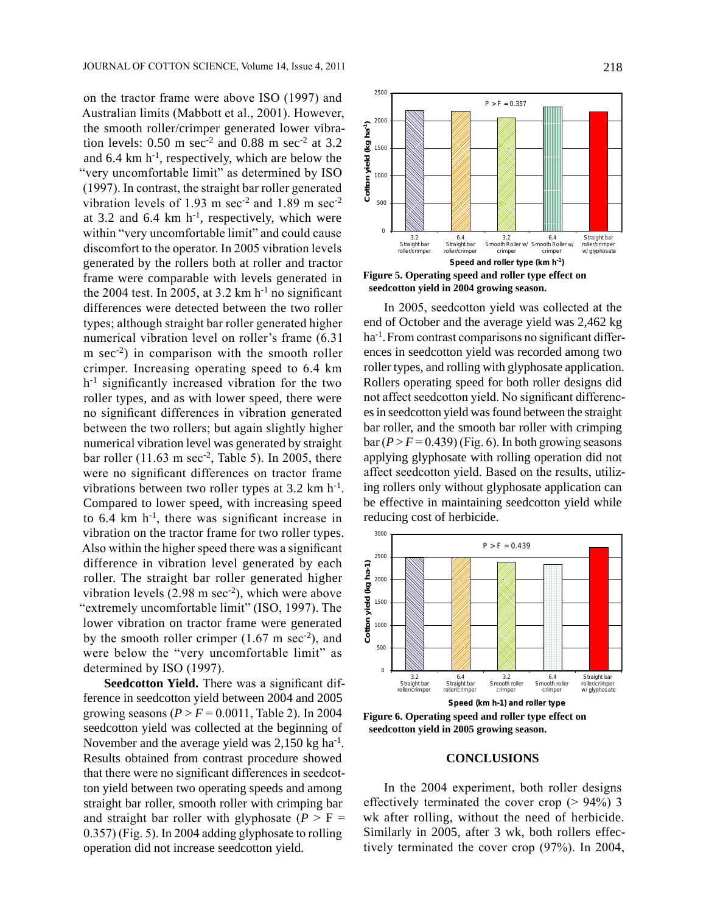on the tractor frame were above ISO (1997) and Australian limits (Mabbott et al., 2001). However, the smooth roller/crimper generated lower vibration levels:  $0.50$  m sec<sup>-2</sup> and  $0.88$  m sec<sup>-2</sup> at  $3.2$ and  $6.4 \text{ km h}^{-1}$ , respectively, which are below the "very uncomfortable limit" as determined by ISO (1997). In contrast, the straight bar roller generated vibration levels of 1.93 m sec<sup>-2</sup> and 1.89 m sec<sup>-2</sup> at 3.2 and 6.4 km  $h^{-1}$ , respectively, which were within "very uncomfortable limit" and could cause discomfort to the operator. In 2005 vibration levels generated by the rollers both at roller and tractor frame were comparable with levels generated in the 2004 test. In 2005, at  $3.2 \text{ km h}^{-1}$  no significant differences were detected between the two roller types; although straight bar roller generated higher numerical vibration level on roller's frame (6.31  $m \sec^2$  in comparison with the smooth roller crimper. Increasing operating speed to 6.4 km h-1 significantly increased vibration for the two roller types, and as with lower speed, there were no significant differences in vibration generated between the two rollers; but again slightly higher numerical vibration level was generated by straight bar roller (11.63 m sec $-2$ , Table 5). In 2005, there were no significant differences on tractor frame vibrations between two roller types at 3.2 km h<sup>-1</sup>. Compared to lower speed, with increasing speed to 6.4 km h-1, there was significant increase in vibration on the tractor frame for two roller types. Also within the higher speed there was a significant difference in vibration level generated by each roller. The straight bar roller generated higher vibration levels  $(2.98 \text{ m sec}^2)$ , which were above "extremely uncomfortable limit" (ISO, 1997). The lower vibration on tractor frame were generated by the smooth roller crimper  $(1.67 \text{ m sec}^2)$ , and were below the "very uncomfortable limit" as determined by ISO (1997).

**Seedcotton Yield.** There was a significant difference in seedcotton yield between 2004 and 2005 growing seasons ( $P > F = 0.0011$ , Table 2). In 2004 seedcotton yield was collected at the beginning of November and the average yield was  $2,150$  kg ha<sup>-1</sup>. Results obtained from contrast procedure showed that there were no significant differences in seedcotton yield between two operating speeds and among straight bar roller, smooth roller with crimping bar and straight bar roller with glyphosate  $(P > F =$ 0.357) (Fig. 5). In 2004 adding glyphosate to rolling operation did not increase seedcotton yield.



**Figure 5. Operating speed and roller type effect on seedcotton yield in 2004 growing season.**

In 2005, seedcotton yield was collected at the end of October and the average yield was 2,462 kg ha-1.From contrast comparisons no significant differences in seedcotton yield was recorded among two roller types, and rolling with glyphosate application. Rollers operating speed for both roller designs did not affect seedcotton yield. No significant differences in seedcotton yield was found between the straight bar roller, and the smooth bar roller with crimping  $bar(P > F = 0.439)$  (Fig. 6). In both growing seasons applying glyphosate with rolling operation did not affect seedcotton yield. Based on the results, utilizing rollers only without glyphosate application can be effective in maintaining seedcotton yield while reducing cost of herbicide.



**Figure 6. Operating speed and roller type effect on seedcotton yield in 2005 growing season.**

#### **CONCLUSIONS**

In the 2004 experiment, both roller designs effectively terminated the cover crop  $(> 94\%)$  3 wk after rolling, without the need of herbicide. Similarly in 2005, after 3 wk, both rollers effectively terminated the cover crop (97%). In 2004,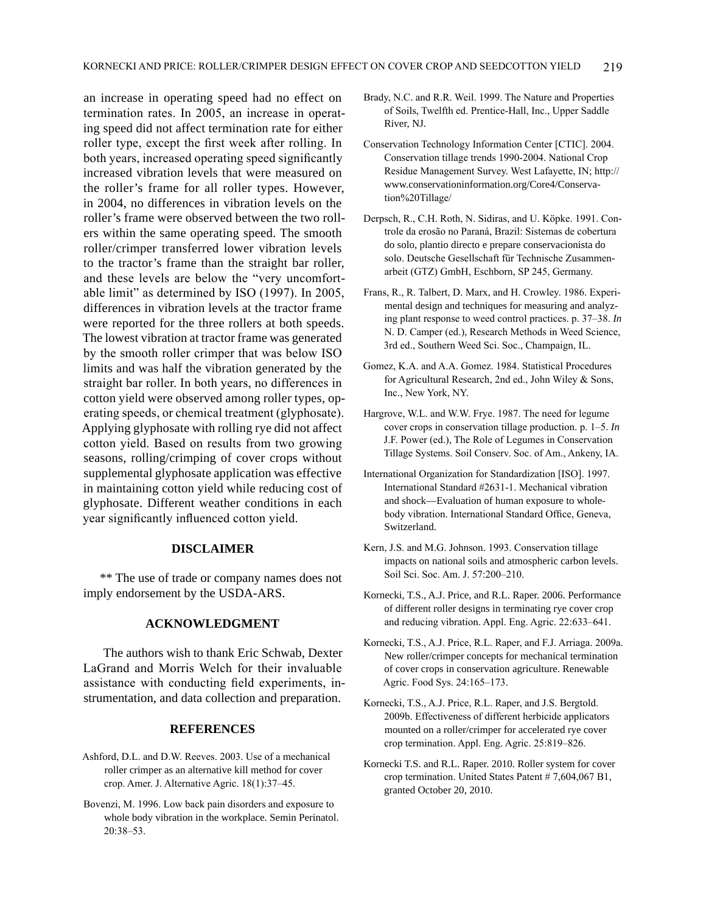an increase in operating speed had no effect on termination rates. In 2005, an increase in operating speed did not affect termination rate for either roller type, except the first week after rolling. In both years, increased operating speed significantly increased vibration levels that were measured on the roller's frame for all roller types. However, in 2004, no differences in vibration levels on the roller's frame were observed between the two rollers within the same operating speed. The smooth roller/crimper transferred lower vibration levels to the tractor's frame than the straight bar roller, and these levels are below the "very uncomfortable limit" as determined by ISO (1997). In 2005, differences in vibration levels at the tractor frame were reported for the three rollers at both speeds. The lowest vibration at tractor frame was generated by the smooth roller crimper that was below ISO limits and was half the vibration generated by the straight bar roller. In both years, no differences in cotton yield were observed among roller types, operating speeds, or chemical treatment (glyphosate). Applying glyphosate with rolling rye did not affect cotton yield. Based on results from two growing seasons, rolling/crimping of cover crops without supplemental glyphosate application was effective in maintaining cotton yield while reducing cost of glyphosate. Different weather conditions in each year significantly influenced cotton yield.

### **DISCLAIMER**

\*\* The use of trade or company names does not imply endorsement by the USDA-ARS.

## **ACKNOWLEDGMENT**

The authors wish to thank Eric Schwab, Dexter LaGrand and Morris Welch for their invaluable assistance with conducting field experiments, instrumentation, and data collection and preparation.

#### **REFERENCES**

- Ashford, D.L. and D.W. Reeves. 2003. Use of a mechanical roller crimper as an alternative kill method for cover crop. Amer. J. Alternative Agric. 18(1):37–45.
- Bovenzi, M. 1996. Low back pain disorders and exposure to whole body vibration in the workplace. Semin Perinatol. 20:38–53.
- Brady, N.C. and R.R. Weil. 1999. The Nature and Properties of Soils, Twelfth ed. Prentice-Hall, Inc., Upper Saddle River, NJ.
- Conservation Technology Information Center [CTIC]. 2004. Conservation tillage trends 1990-2004. National Crop Residue Management Survey. West Lafayette, IN; http:// www.conservationinformation.org/Core4/Conservation%20Tillage/
- Derpsch, R., C.H. Roth, N. Sidiras, and U. Köpke. 1991. Controle da erosão no Paraná, Brazil: Sistemas de cobertura do solo, plantio directo e prepare conservacionista do solo. Deutsche Gesellschaft für Technische Zusammenarbeit (GTZ) GmbH, Eschborn, SP 245, Germany.
- Frans, R., R. Talbert, D. Marx, and H. Crowley. 1986. Experimental design and techniques for measuring and analyzing plant response to weed control practices. p. 37–38. *In* N. D. Camper (ed.), Research Methods in Weed Science, 3rd ed., Southern Weed Sci. Soc., Champaign, IL.
- Gomez, K.A. and A.A. Gomez. 1984. Statistical Procedures for Agricultural Research, 2nd ed., John Wiley & Sons, Inc., New York, NY.
- Hargrove, W.L. and W.W. Frye. 1987. The need for legume cover crops in conservation tillage production. p. 1–5. *In* J.F. Power (ed.), The Role of Legumes in Conservation Tillage Systems. Soil Conserv. Soc. of Am., Ankeny, IA.
- International Organization for Standardization [ISO]. 1997. International Standard #2631-1. Mechanical vibration and shock—Evaluation of human exposure to wholebody vibration. International Standard Office, Geneva, Switzerland.
- Kern, J.S. and M.G. Johnson. 1993. Conservation tillage impacts on national soils and atmospheric carbon levels. Soil Sci. Soc. Am. J. 57:200–210.
- Kornecki, T.S., A.J. Price, and R.L. Raper. 2006. Performance of different roller designs in terminating rye cover crop and reducing vibration. Appl. Eng. Agric. 22:633–641.
- Kornecki, T.S., A.J. Price, R.L. Raper, and F.J. Arriaga. 2009a. New roller/crimper concepts for mechanical termination of cover crops in conservation agriculture. Renewable Agric. Food Sys. 24:165–173.
- Kornecki, T.S., A.J. Price, R.L. Raper, and J.S. Bergtold. 2009b. Effectiveness of different herbicide applicators mounted on a roller/crimper for accelerated rye cover crop termination. Appl. Eng. Agric. 25:819–826.
- Kornecki T.S. and R.L. Raper. 2010. Roller system for cover crop termination. United States Patent # 7,604,067 B1, granted October 20, 2010.